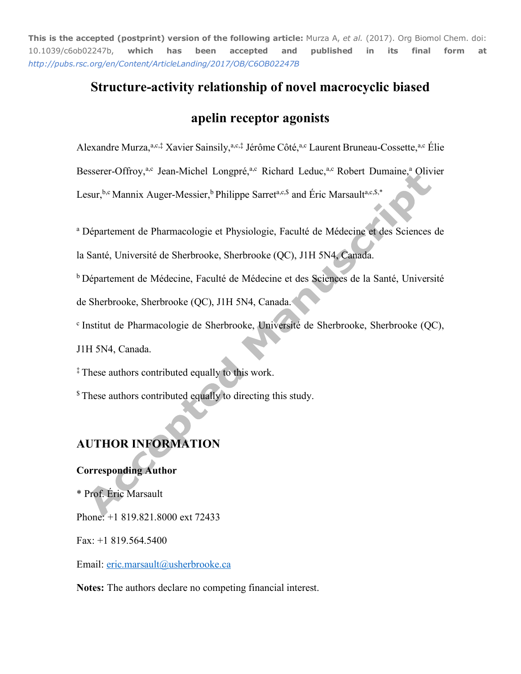# **Structure-activity relationship of novel macrocyclic biased**

# **apelin receptor agonists**

Alexandre Murza,<sup>a,c,‡</sup> Xavier Sainsily,<sup>a,c,‡</sup> Jérôme Côté,<sup>a,c</sup> Laurent Bruneau-Cossette,<sup>a,c</sup> Élie

Besserer-Offroy,<sup>a,c</sup> Jean-Michel Longpré,<sup>a,c</sup> Richard Leduc,<sup>a,c</sup> Robert Dumaine,<sup>a</sup> Olivier

Lesur, b,c Mannix Auger-Messier, <sup>b</sup> Philippe Sarret<sup>a,c, \$</sup> and Éric Marsault<sup>a,c, \$,\*</sup>

<sup>a</sup> Département de Pharmacologie et Physiologie, Faculté de Médecine et des Sciences de la Santé, Université de Sherbrooke, Sherbrooke (QC), J1H 5N4, Canada.

b Département de Médecine, Faculté de Médecine et des Sciences de la Santé, Université de Sherbrooke, Sherbrooke (QC), J1H 5N4, Canada.

c Institut de Pharmacologie de Sherbrooke, Université de Sherbrooke, Sherbrooke (QC),

J1H 5N4, Canada.

‡ These authors contributed equally to this work.

<sup>\$</sup> These authors contributed equally to directing this study.

# **AUTHOR INFORMATION**

## **Corresponding Author**

\* Prof. Éric Marsault

Phone: +1 819.821.8000 ext 72433

Fax: +1 819.564.5400

Email: eric.marsault@usherbrooke.ca

**Notes:** The authors declare no competing financial interest.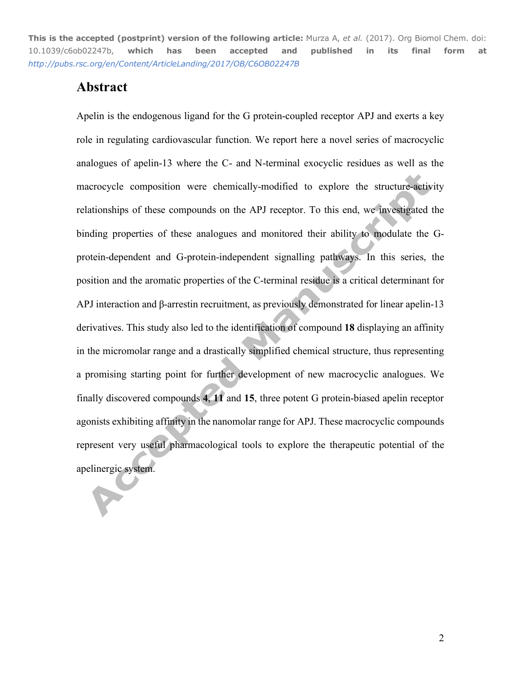# **Abstract**

Apelin is the endogenous ligand for the G protein-coupled receptor APJ and exerts a key role in regulating cardiovascular function. We report here a novel series of macrocyclic analogues of apelin-13 where the C- and N-terminal exocyclic residues as well as the macrocycle composition were chemically-modified to explore the structure-activity relationships of these compounds on the APJ receptor. To this end, we investigated the binding properties of these analogues and monitored their ability to modulate the Gprotein-dependent and G-protein-independent signalling pathways. In this series, the position and the aromatic properties of the C-terminal residue is a critical determinant for APJ interaction and β-arrestin recruitment, as previously demonstrated for linear apelin-13 derivatives. This study also led to the identification of compound **18** displaying an affinity in the micromolar range and a drastically simplified chemical structure, thus representing a promising starting point for further development of new macrocyclic analogues. We finally discovered compounds **4**, **11** and **15**, three potent G protein-biased apelin receptor agonists exhibiting affinity in the nanomolar range for APJ. These macrocyclic compounds represent very useful pharmacological tools to explore the therapeutic potential of the apelinergic system.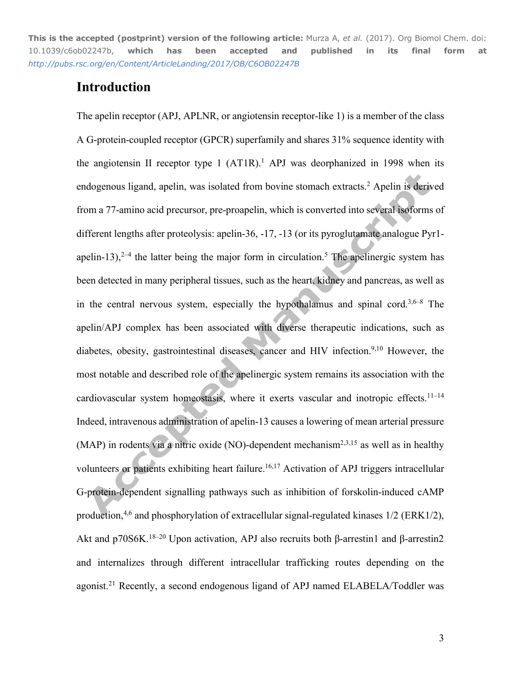# **Introduction**

The apelin receptor (APJ, APLNR, or angiotensin receptor-like 1) is a member of the class A G-protein-coupled receptor (GPCR) superfamily and shares 31% sequence identity with the angiotensin II receptor type  $1$  (AT1R).<sup>1</sup> APJ was deorphanized in 1998 when its endogenous ligand, apelin, was isolated from bovine stomach extracts. <sup>2</sup> Apelin is derived from a 77-amino acid precursor, pre-proapelin, which is converted into several isoforms of different lengths after proteolysis: apelin-36, -17, -13 (or its pyroglutamate analogue Pyr1 apelin-13),<sup>2-4</sup> the latter being the major form in circulation.<sup>5</sup> The apelinergic system has been detected in many peripheral tissues, such as the heart, kidney and pancreas, as well as in the central nervous system, especially the hypothalamus and spinal cord.<sup>3,6–8</sup> The apelin/APJ complex has been associated with diverse therapeutic indications, such as diabetes, obesity, gastrointestinal diseases, cancer and HIV infection. 9,10 However, the most notable and described role of the apelinergic system remains its association with the cardiovascular system homeostasis, where it exerts vascular and inotropic effects.<sup>11-14</sup> Indeed, intravenous administration of apelin-13 causes a lowering of mean arterial pressure (MAP) in rodents via a nitric oxide (NO)-dependent mechanism<sup>2,3,15</sup> as well as in healthy volunteers or patients exhibiting heart failure. 16,17 Activation of APJ triggers intracellular G-protein-dependent signalling pathways such as inhibition of forskolin-induced cAMP production,<sup>4,6</sup> and phosphorylation of extracellular signal-regulated kinases 1/2 (ERK1/2), Akt and p70S6K.<sup>18-20</sup> Upon activation, APJ also recruits both β-arrestin1 and β-arrestin2 and internalizes through different intracellular trafficking routes depending on the agonist.<sup>21</sup> Recently, a second endogenous ligand of APJ named ELABELA/Toddler was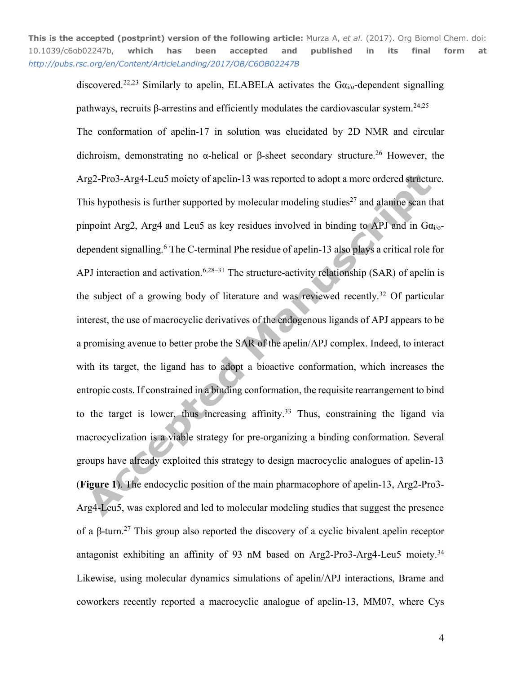> discovered.<sup>22,23</sup> Similarly to apelin, ELABELA activates the  $Ga_{i/o}$ -dependent signalling pathways, recruits  $\beta$ -arrestins and efficiently modulates the cardiovascular system.<sup>24,25</sup> The conformation of apelin-17 in solution was elucidated by 2D NMR and circular dichroism, demonstrating no α-helical or β-sheet secondary structure.<sup>26</sup> However, the Arg2-Pro3-Arg4-Leu5 moiety of apelin-13 was reported to adopt a more ordered structure. This hypothesis is further supported by molecular modeling studies<sup>27</sup> and alanine scan that pinpoint Arg2, Arg4 and Leu5 as key residues involved in binding to APJ and in  $Ga_{1/0}$ dependent signalling. <sup>6</sup> The C-terminal Phe residue of apelin-13 also plays a critical role for APJ interaction and activation.  $6,28-31$  The structure-activity relationship (SAR) of apelin is the subject of a growing body of literature and was reviewed recently.<sup>32</sup> Of particular interest, the use of macrocyclic derivatives of the endogenous ligands of APJ appears to be a promising avenue to better probe the SAR of the apelin/APJ complex. Indeed, to interact with its target, the ligand has to adopt a bioactive conformation, which increases the entropic costs. If constrained in a binding conformation, the requisite rearrangement to bind to the target is lower, thus increasing affinity. <sup>33</sup> Thus, constraining the ligand via macrocyclization is a viable strategy for pre-organizing a binding conformation. Several groups have already exploited this strategy to design macrocyclic analogues of apelin-13 (**Figure 1**). The endocyclic position of the main pharmacophore of apelin-13, Arg2-Pro3- Arg4-Leu5, was explored and led to molecular modeling studies that suggest the presence of a β-turn. <sup>27</sup> This group also reported the discovery of a cyclic bivalent apelin receptor antagonist exhibiting an affinity of 93 nM based on Arg2-Pro3-Arg4-Leu5 moiety. 34 Likewise, using molecular dynamics simulations of apelin/APJ interactions, Brame and coworkers recently reported a macrocyclic analogue of apelin-13, MM07, where Cys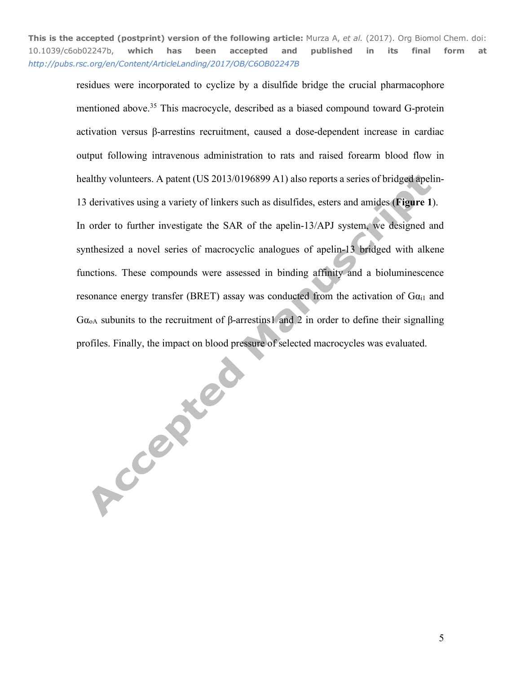> residues were incorporated to cyclize by a disulfide bridge the crucial pharmacophore mentioned above. <sup>35</sup> This macrocycle, described as a biased compound toward G-protein activation versus β-arrestins recruitment, caused a dose-dependent increase in cardiac output following intravenous administration to rats and raised forearm blood flow in healthy volunteers. A patent (US 2013/0196899 A1) also reports a series of bridged apelin-13 derivatives using a variety of linkers such as disulfides, esters and amides (**Figure 1**). In order to further investigate the SAR of the apelin-13/APJ system, we designed and synthesized a novel series of macrocyclic analogues of apelin-13 bridged with alkene functions. These compounds were assessed in binding affinity and a bioluminescence resonance energy transfer (BRET) assay was conducted from the activation of  $Ga_{i1}$  and Gα<sub>oA</sub> subunits to the recruitment of β-arrestins1 and 2 in order to define their signalling profiles. Finally, the impact on blood pressure of selected macrocycles was evaluated.

> > 5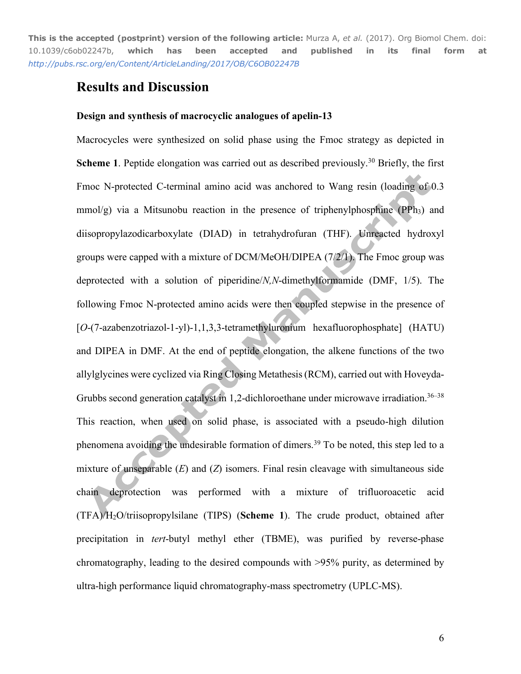## **Results and Discussion**

#### **Design and synthesis of macrocyclic analogues of apelin-13**

Macrocycles were synthesized on solid phase using the Fmoc strategy as depicted in Scheme 1. Peptide elongation was carried out as described previously.<sup>30</sup> Briefly, the first Fmoc N-protected C-terminal amino acid was anchored to Wang resin (loading of 0.3 mmol/g) via a Mitsunobu reaction in the presence of triphenylphosphine (PPh<sub>3</sub>) and diisopropylazodicarboxylate (DIAD) in tetrahydrofuran (THF). Unreacted hydroxyl groups were capped with a mixture of DCM/MeOH/DIPEA (7/2/1). The Fmoc group was deprotected with a solution of piperidine/*N,N*-dimethylformamide (DMF, 1/5). The following Fmoc N-protected amino acids were then coupled stepwise in the presence of [*O*-(7-azabenzotriazol-1-yl)-1,1,3,3-tetramethyluronium hexafluorophosphate] (HATU) and DIPEA in DMF. At the end of peptide elongation, the alkene functions of the two allylglycines were cyclized via Ring Closing Metathesis(RCM), carried out with Hoveyda-Grubbs second generation catalyst in 1,2-dichloroethane under microwave irradiation.<sup>36-38</sup> This reaction, when used on solid phase, is associated with a pseudo-high dilution phenomena avoiding the undesirable formation of dimers. <sup>39</sup> To be noted, this step led to a mixture of unseparable (*E*) and (*Z*) isomers. Final resin cleavage with simultaneous side chain deprotection was performed with a mixture of trifluoroacetic acid (TFA)/H2O/triisopropylsilane (TIPS) (**Scheme 1**). The crude product, obtained after precipitation in *tert*-butyl methyl ether (TBME), was purified by reverse-phase chromatography, leading to the desired compounds with >95% purity, as determined by ultra-high performance liquid chromatography-mass spectrometry (UPLC-MS).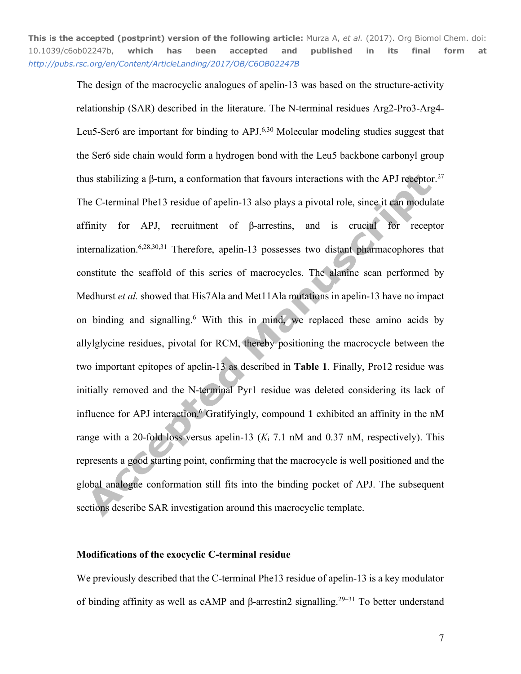> The design of the macrocyclic analogues of apelin-13 was based on the structure-activity relationship (SAR) described in the literature. The N-terminal residues Arg2-Pro3-Arg4- Leu5-Ser6 are important for binding to APJ.<sup>6,30</sup> Molecular modeling studies suggest that the Ser6 side chain would form a hydrogen bond with the Leu5 backbone carbonyl group thus stabilizing a β-turn, a conformation that favours interactions with the APJ receptor.<sup>27</sup> The C-terminal Phe13 residue of apelin-13 also plays a pivotal role, since it can modulate affinity for APJ, recruitment of β-arrestins, and is crucial for receptor internalization. 6,28,30,31 Therefore, apelin-13 possesses two distant pharmacophores that constitute the scaffold of this series of macrocycles. The alanine scan performed by Medhurst *et al.* showed that His7Ala and Met11Ala mutations in apelin-13 have no impact on binding and signalling. <sup>6</sup> With this in mind, we replaced these amino acids by allylglycine residues, pivotal for RCM, thereby positioning the macrocycle between the two important epitopes of apelin-13 as described in **Table 1**. Finally, Pro12 residue was initially removed and the N-terminal Pyr1 residue was deleted considering its lack of influence for APJ interaction. <sup>6</sup> Gratifyingly, compound **1** exhibited an affinity in the nM range with a 20-fold loss versus apelin-13  $(K<sub>i</sub> 7.1$  nM and 0.37 nM, respectively). This represents a good starting point, confirming that the macrocycle is well positioned and the global analogue conformation still fits into the binding pocket of APJ. The subsequent sections describe SAR investigation around this macrocyclic template.

## **Modifications of the exocyclic C-terminal residue**

We previously described that the C-terminal Phe13 residue of apelin-13 is a key modulator of binding affinity as well as cAMP and  $\beta$ -arrestin2 signalling.<sup>29–31</sup> To better understand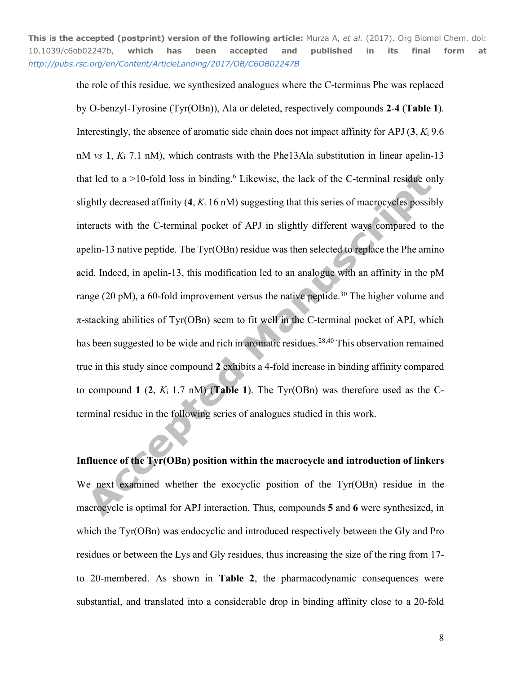> the role of this residue, we synthesized analogues where the C-terminus Phe was replaced by O-benzyl-Tyrosine (Tyr(OBn)), Ala or deleted, respectively compounds **2**-**4** (**Table 1**). Interestingly, the absence of aromatic side chain does not impact affinity for APJ (**3**, *K*<sup>i</sup> 9.6 nM *vs* **1**, *K*<sup>i</sup> 7.1 nM), which contrasts with the Phe13Ala substitution in linear apelin-13 that led to a >10-fold loss in binding. <sup>6</sup> Likewise, the lack of the C-terminal residue only slightly decreased affinity (**4**, *K*<sup>i</sup> 16 nM) suggesting that this series of macrocycles possibly interacts with the C-terminal pocket of APJ in slightly different ways compared to the apelin-13 native peptide. The Tyr(OBn) residue was then selected to replace the Phe amino acid. Indeed, in apelin-13, this modification led to an analogue with an affinity in the pM range (20 pM), a 60-fold improvement versus the native peptide.<sup>30</sup> The higher volume and π-stacking abilities of Tyr(OBn) seem to fit well in the C-terminal pocket of APJ, which has been suggested to be wide and rich in aromatic residues.<sup>28,40</sup> This observation remained true in this study since compound **2** exhibits a 4-fold increase in binding affinity compared to compound **1** (**2**, *K*<sup>i</sup> 1.7 nM) (**Table 1**). The Tyr(OBn) was therefore used as the Cterminal residue in the following series of analogues studied in this work.

> **Influence of the Tyr(OBn) position within the macrocycle and introduction of linkers** We next examined whether the exocyclic position of the Tyr(OBn) residue in the macrocycle is optimal for APJ interaction. Thus, compounds **5** and **6** were synthesized, in which the Tyr(OBn) was endocyclic and introduced respectively between the Gly and Pro residues or between the Lys and Gly residues, thus increasing the size of the ring from 17 to 20-membered. As shown in **Table 2**, the pharmacodynamic consequences were substantial, and translated into a considerable drop in binding affinity close to a 20-fold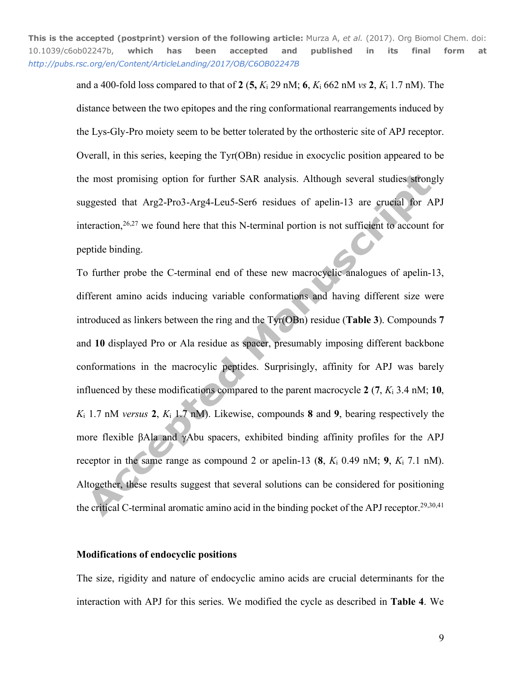> and a 400-fold loss compared to that of **2** (5,  $K_i$  29 nM; 6,  $K_i$  662 nM *vs* **2**,  $K_i$  1.7 nM). The distance between the two epitopes and the ring conformational rearrangements induced by the Lys-Gly-Pro moiety seem to be better tolerated by the orthosteric site of APJ receptor. Overall, in this series, keeping the Tyr(OBn) residue in exocyclic position appeared to be the most promising option for further SAR analysis. Although several studies strongly suggested that Arg2-Pro3-Arg4-Leu5-Ser6 residues of apelin-13 are crucial for APJ interaction,<sup>26,27</sup> we found here that this N-terminal portion is not sufficient to account for peptide binding.

> To further probe the C-terminal end of these new macrocyclic analogues of apelin-13, different amino acids inducing variable conformations and having different size were introduced as linkers between the ring and the Tyr(OBn) residue (**Table 3**). Compounds **7** and **10** displayed Pro or Ala residue as spacer, presumably imposing different backbone conformations in the macrocylic peptides. Surprisingly, affinity for APJ was barely influenced by these modifications compared to the parent macrocycle **2** (**7**, *K*<sup>i</sup> 3.4 nM; **10**, *K*<sup>i</sup> 1.7 nM *versus* **2**, *K*<sup>i</sup> 1.7 nM). Likewise, compounds **8** and **9**, bearing respectively the more flexible βAla and γAbu spacers, exhibited binding affinity profiles for the APJ receptor in the same range as compound 2 or apelin-13  $(8, K_i, 0.49 \text{ nM}; 9, K_i, 7.1 \text{ nM}).$ Altogether, these results suggest that several solutions can be considered for positioning the critical C-terminal aromatic amino acid in the binding pocket of the APJ receptor.<sup>29,30,41</sup>

#### **Modifications of endocyclic positions**

The size, rigidity and nature of endocyclic amino acids are crucial determinants for the interaction with APJ for this series. We modified the cycle as described in **Table 4**. We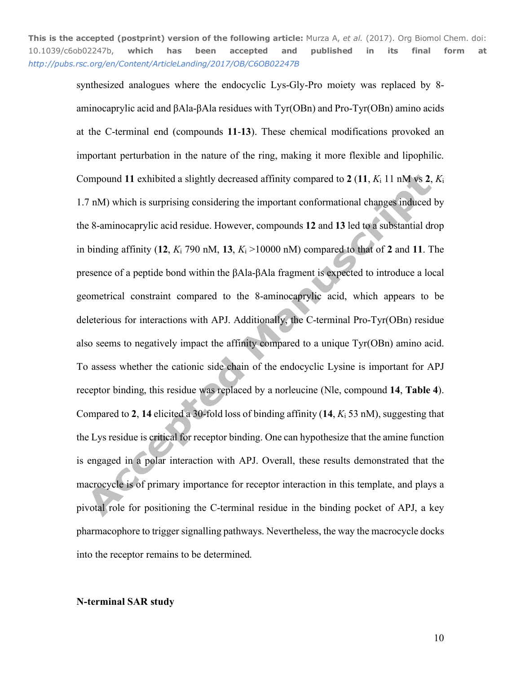> synthesized analogues where the endocyclic Lys-Gly-Pro moiety was replaced by 8 aminocaprylic acid and βAla-βAla residues with Tyr(OBn) and Pro-Tyr(OBn) amino acids at the C-terminal end (compounds **11**-**13**). These chemical modifications provoked an important perturbation in the nature of the ring, making it more flexible and lipophilic. Compound **11** exhibited a slightly decreased affinity compared to **2** (**11**, *K*<sup>i</sup> 11 nM vs **2**, *K*<sup>i</sup> 1.7 nM) which is surprising considering the important conformational changes induced by the 8-aminocaprylic acid residue. However, compounds **12** and **13** led to a substantial drop in binding affinity (12,  $K_i$  790 nM, 13,  $K_i$  >10000 nM) compared to that of 2 and 11. The presence of a peptide bond within the βAla-βAla fragment is expected to introduce a local geometrical constraint compared to the 8-aminocaprylic acid, which appears to be deleterious for interactions with APJ. Additionally, the C-terminal Pro-Tyr(OBn) residue also seems to negatively impact the affinity compared to a unique Tyr(OBn) amino acid. To assess whether the cationic side chain of the endocyclic Lysine is important for APJ receptor binding, this residue was replaced by a norleucine (Nle, compound **14**, **Table 4**). Compared to **2**, **14** elicited a 30-fold loss of binding affinity (**14**, *K*<sup>i</sup> 53 nM), suggesting that the Lys residue is critical for receptor binding. One can hypothesize that the amine function is engaged in a polar interaction with APJ. Overall, these results demonstrated that the macrocycle is of primary importance for receptor interaction in this template, and plays a pivotal role for positioning the C-terminal residue in the binding pocket of APJ, a key pharmacophore to trigger signalling pathways. Nevertheless, the way the macrocycle docks into the receptor remains to be determined.

## **N-terminal SAR study**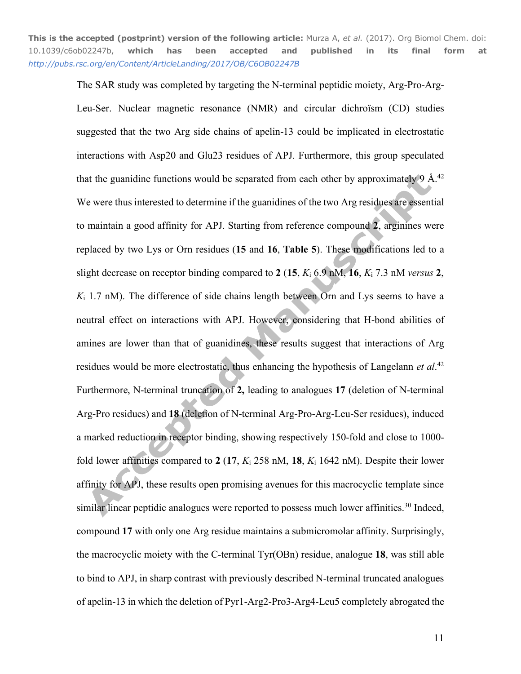> The SAR study was completed by targeting the N-terminal peptidic moiety, Arg-Pro-Arg-Leu-Ser. Nuclear magnetic resonance (NMR) and circular dichroïsm (CD) studies suggested that the two Arg side chains of apelin-13 could be implicated in electrostatic interactions with Asp20 and Glu23 residues of APJ. Furthermore, this group speculated that the guanidine functions would be separated from each other by approximately 9  $\AA$ <sup>42</sup> We were thus interested to determine if the guanidines of the two Arg residues are essential to maintain a good affinity for APJ. Starting from reference compound **2**, arginines were replaced by two Lys or Orn residues (**15** and **16**, **Table 5**). These modifications led to a slight decrease on receptor binding compared to  $2(15, K_1 6.9 \text{ nM}, 16, K_1 7.3 \text{ nM}$  *versus* **2**,  $K<sub>i</sub>$  1.7 nM). The difference of side chains length between Orn and Lys seems to have a neutral effect on interactions with APJ. However, considering that H-bond abilities of amines are lower than that of guanidines, these results suggest that interactions of Arg residues would be more electrostatic, thus enhancing the hypothesis of Langelann *et al*. 42 Furthermore, N-terminal truncation of **2,** leading to analogues **17** (deletion of N-terminal Arg-Pro residues) and **18** (deletion of N-terminal Arg-Pro-Arg-Leu-Ser residues), induced a marked reduction in receptor binding, showing respectively 150-fold and close to 1000 fold lower affinities compared to **2** (**17**, *K*<sup>i</sup> 258 nM, **18**, *K*<sup>i</sup> 1642 nM). Despite their lower affinity for APJ, these results open promising avenues for this macrocyclic template since similar linear peptidic analogues were reported to possess much lower affinities.<sup>30</sup> Indeed, compound **17** with only one Arg residue maintains a submicromolar affinity. Surprisingly, the macrocyclic moiety with the C-terminal Tyr(OBn) residue, analogue **18**, was still able to bind to APJ, in sharp contrast with previously described N-terminal truncated analogues of apelin-13 in which the deletion of Pyr1-Arg2-Pro3-Arg4-Leu5 completely abrogated the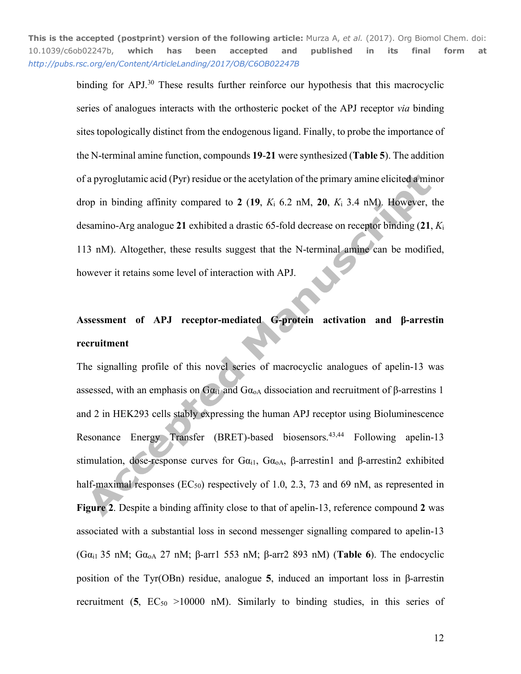> binding for APJ.<sup>30</sup> These results further reinforce our hypothesis that this macrocyclic series of analogues interacts with the orthosteric pocket of the APJ receptor *via* binding sites topologically distinct from the endogenous ligand. Finally, to probe the importance of the N-terminal amine function, compounds **19**-**21** were synthesized (**Table 5**). The addition of a pyroglutamic acid (Pyr) residue or the acetylation of the primary amine elicited a minor drop in binding affinity compared to **2** (**19**, *K*<sup>i</sup> 6.2 nM, **20**, *K*<sup>i</sup> 3.4 nM). However, the desamino-Arg analogue **21** exhibited a drastic 65-fold decrease on receptor binding (**21**, *K*<sup>i</sup> 113 nM). Altogether, these results suggest that the N-terminal amine can be modified, however it retains some level of interaction with APJ.

# **Assessment of APJ receptor-mediated G-protein activation and β-arrestin recruitment**

The signalling profile of this novel series of macrocyclic analogues of apelin-13 was assessed, with an emphasis on  $Ga_{11}$  and  $Ga_{0A}$  dissociation and recruitment of β-arrestins 1 and 2 in HEK293 cells stably expressing the human APJ receptor using Bioluminescence Resonance Energy Transfer (BRET)-based biosensors. 43,44 Following apelin-13 stimulation, dose-response curves for  $Ga_{01}$ ,  $Ga_{0A}$ , β-arrestin1 and β-arrestin2 exhibited half-maximal responses ( $EC_{50}$ ) respectively of 1.0, 2.3, 73 and 69 nM, as represented in **Figure 2**. Despite a binding affinity close to that of apelin-13, reference compound **2** was associated with a substantial loss in second messenger signalling compared to apelin-13 (Gαi1 35 nM; GαoA 27 nM; β-arr1 553 nM; β-arr2 893 nM) (**Table 6**). The endocyclic position of the Tyr(OBn) residue, analogue **5**, induced an important loss in β-arrestin recruitment  $(5, EC_{50} >10000 \text{ nM})$ . Similarly to binding studies, in this series of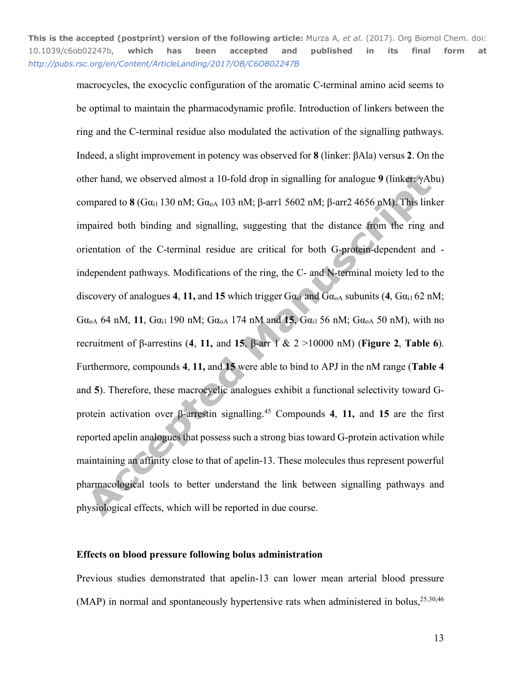> macrocycles, the exocyclic configuration of the aromatic C-terminal amino acid seems to be optimal to maintain the pharmacodynamic profile. Introduction of linkers between the ring and the C-terminal residue also modulated the activation of the signalling pathways. Indeed, a slight improvement in potency was observed for **8** (linker: βAla) versus **2**. On the other hand, we observed almost a 10-fold drop in signalling for analogue **9** (linker: γAbu) compared to **8** (Gα<sub>i1</sub> 130 nM; Gα<sub>oA</sub> 103 nM; β-arr1 5602 nM; β-arr2 4656 nM). This linker impaired both binding and signalling, suggesting that the distance from the ring and orientation of the C-terminal residue are critical for both G-protein-dependent and independent pathways. Modifications of the ring, the C- and N-terminal moiety led to the discovery of analogues 4, 11, and 15 which trigger  $Ga_{i1}$  and  $Ga_{oA}$  subunits (4,  $Ga_{i1}$  62 nM;  $G\alpha_{oA}$  64 nM, 11,  $G\alpha_{i1}$  190 nM;  $G\alpha_{oA}$  174 nM and 15,  $G\alpha_{i1}$  56 nM;  $G\alpha_{oA}$  50 nM), with no recruitment of β-arrestins (**4**, **11,** and **15**, β-arr 1 & 2 >10000 nM) (**Figure 2**, **Table 6**). Furthermore, compounds **4**, **11,** and **15** were able to bind to APJ in the nM range (**Table 4** and **5**). Therefore, these macrocyclic analogues exhibit a functional selectivity toward Gprotein activation over β-arrestin signalling. <sup>45</sup> Compounds **4**, **11,** and **15** are the first reported apelin analogues that possess such a strong bias toward G-protein activation while maintaining an affinity close to that of apelin-13. These molecules thus represent powerful pharmacological tools to better understand the link between signalling pathways and physiological effects, which will be reported in due course.

## **Effects on blood pressure following bolus administration**

Previous studies demonstrated that apelin-13 can lower mean arterial blood pressure (MAP) in normal and spontaneously hypertensive rats when administered in bolus,<sup>25,30,46</sup>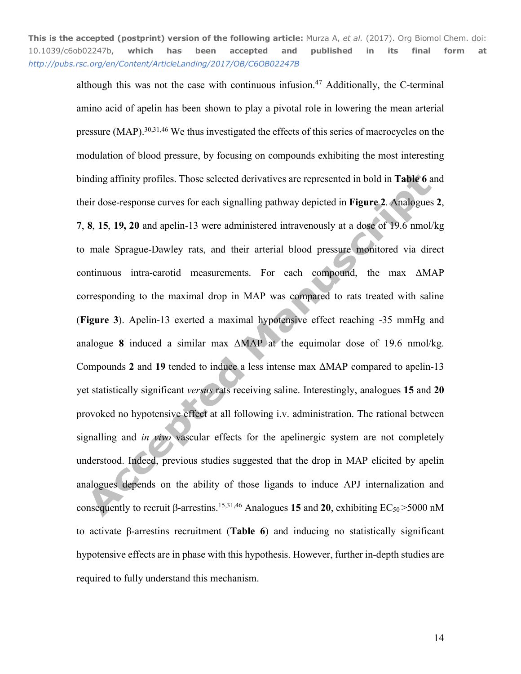> although this was not the case with continuous infusion.<sup>47</sup> Additionally, the C-terminal amino acid of apelin has been shown to play a pivotal role in lowering the mean arterial pressure (MAP).<sup>30,31,46</sup> We thus investigated the effects of this series of macrocycles on the modulation of blood pressure, by focusing on compounds exhibiting the most interesting binding affinity profiles. Those selected derivatives are represented in bold in **Table 6** and their dose-response curves for each signalling pathway depicted in **Figure 2**. Analogues **2**, **7**, **8**, **15**, **19, 20** and apelin-13 were administered intravenously at a dose of 19.6 nmol/kg to male Sprague-Dawley rats, and their arterial blood pressure monitored via direct continuous intra-carotid measurements. For each compound, the max ΔMAP corresponding to the maximal drop in MAP was compared to rats treated with saline (**Figure 3**). Apelin-13 exerted a maximal hypotensive effect reaching -35 mmHg and analogue **8** induced a similar max ΔMAP at the equimolar dose of 19.6 nmol/kg. Compounds **2** and **19** tended to induce a less intense max ΔMAP compared to apelin-13 yet statistically significant *versus* rats receiving saline. Interestingly, analogues **15** and **20** provoked no hypotensive effect at all following i.v. administration. The rational between signalling and *in vivo* vascular effects for the apelinergic system are not completely understood. Indeed, previous studies suggested that the drop in MAP elicited by apelin analogues depends on the ability of those ligands to induce APJ internalization and consequently to recruit β-arrestins.<sup>15,31,46</sup> Analogues **15** and **20**, exhibiting EC<sub>50</sub> > 5000 nM to activate β-arrestins recruitment (**Table 6**) and inducing no statistically significant hypotensive effects are in phase with this hypothesis. However, further in-depth studies are required to fully understand this mechanism.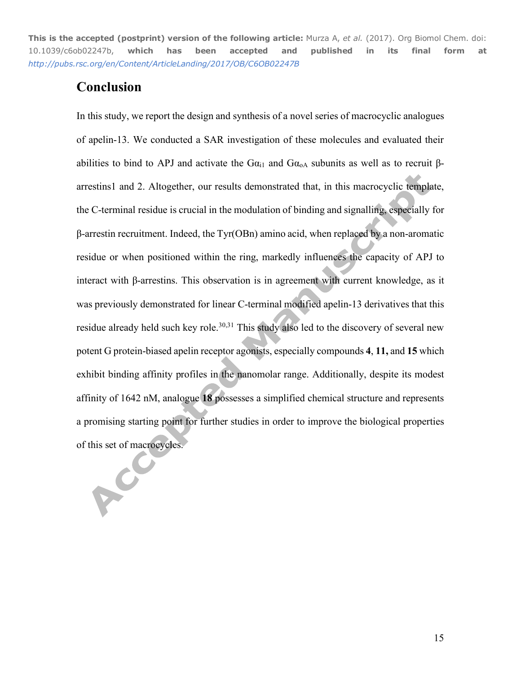# **Conclusion**

In this study, we report the design and synthesis of a novel series of macrocyclic analogues of apelin-13. We conducted a SAR investigation of these molecules and evaluated their abilities to bind to APJ and activate the  $Ga_{i1}$  and  $Ga_{oA}$  subunits as well as to recruit βarrestins1 and 2. Altogether, our results demonstrated that, in this macrocyclic template, the C-terminal residue is crucial in the modulation of binding and signalling, especially for β-arrestin recruitment. Indeed, the Tyr(OBn) amino acid, when replaced by a non-aromatic residue or when positioned within the ring, markedly influences the capacity of APJ to interact with β-arrestins. This observation is in agreement with current knowledge, as it was previously demonstrated for linear C-terminal modified apelin-13 derivatives that this residue already held such key role.<sup>30,31</sup> This study also led to the discovery of several new potent G protein-biased apelin receptor agonists, especially compounds **4**, **11,** and **15** which exhibit binding affinity profiles in the nanomolar range. Additionally, despite its modest affinity of 1642 nM, analogue **18** possesses a simplified chemical structure and represents a promising starting point for further studies in order to improve the biological properties of this set of macrocycles.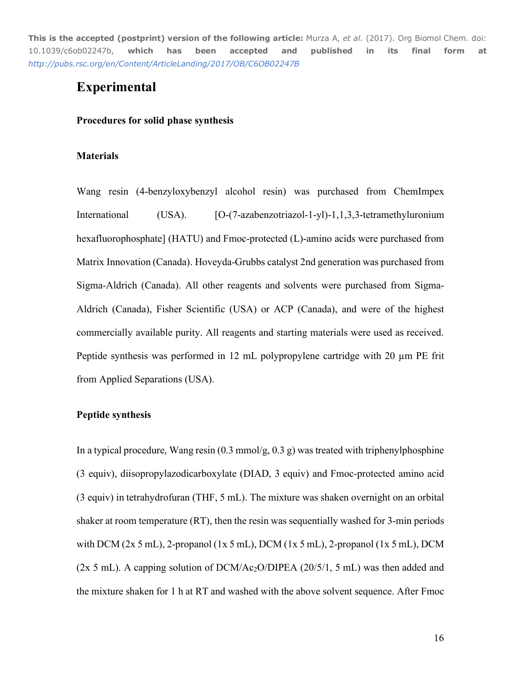# **Experimental**

#### **Procedures for solid phase synthesis**

## **Materials**

Wang resin (4-benzyloxybenzyl alcohol resin) was purchased from ChemImpex International (USA). [O-(7-azabenzotriazol-1-yl)-1,1,3,3-tetramethyluronium hexafluorophosphate] (HATU) and Fmoc-protected (L)-amino acids were purchased from Matrix Innovation (Canada). Hoveyda-Grubbs catalyst 2nd generation was purchased from Sigma-Aldrich (Canada). All other reagents and solvents were purchased from Sigma-Aldrich (Canada), Fisher Scientific (USA) or ACP (Canada), and were of the highest commercially available purity. All reagents and starting materials were used as received. Peptide synthesis was performed in 12 mL polypropylene cartridge with 20 µm PE frit from Applied Separations (USA).

## **Peptide synthesis**

In a typical procedure, Wang resin  $(0.3 \text{ mmol/g}, 0.3 \text{ g})$  was treated with triphenylphosphine (3 equiv), diisopropylazodicarboxylate (DIAD, 3 equiv) and Fmoc-protected amino acid (3 equiv) in tetrahydrofuran (THF, 5 mL). The mixture was shaken overnight on an orbital shaker at room temperature (RT), then the resin was sequentially washed for 3-min periods with DCM ( $2x 5$  mL), 2-propanol ( $1x 5$  mL), DCM ( $1x 5$  mL), 2-propanol ( $1x 5$  mL), DCM  $(2x 5$  mL). A capping solution of DCM/Ac<sub>2</sub>O/DIPEA  $(20/5/1, 5$  mL) was then added and the mixture shaken for 1 h at RT and washed with the above solvent sequence. After Fmoc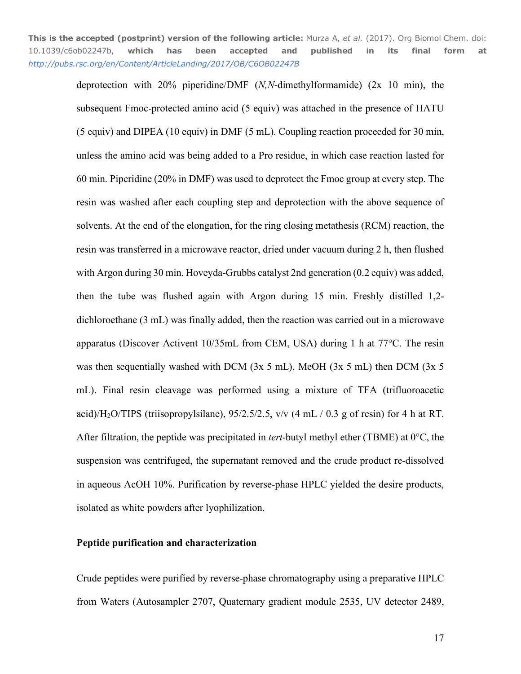> deprotection with 20% piperidine/DMF (*N,N*-dimethylformamide) (2x 10 min), the subsequent Fmoc-protected amino acid (5 equiv) was attached in the presence of HATU (5 equiv) and DIPEA (10 equiv) in DMF (5 mL). Coupling reaction proceeded for 30 min, unless the amino acid was being added to a Pro residue, in which case reaction lasted for 60 min. Piperidine (20% in DMF) was used to deprotect the Fmoc group at every step. The resin was washed after each coupling step and deprotection with the above sequence of solvents. At the end of the elongation, for the ring closing metathesis (RCM) reaction, the resin was transferred in a microwave reactor, dried under vacuum during 2 h, then flushed with Argon during 30 min. Hoveyda-Grubbs catalyst 2nd generation (0.2 equiv) was added, then the tube was flushed again with Argon during 15 min. Freshly distilled 1,2 dichloroethane (3 mL) was finally added, then the reaction was carried out in a microwave apparatus (Discover Activent 10/35mL from CEM, USA) during 1 h at 77°C. The resin was then sequentially washed with DCM  $(3x 5 mL)$ , MeOH  $(3x 5 mL)$  then DCM  $(3x 5 mL)$ mL). Final resin cleavage was performed using a mixture of TFA (trifluoroacetic acid)/H<sub>2</sub>O/TIPS (triisopropylsilane),  $95/2.5/2.5$ , v/v (4 mL / 0.3 g of resin) for 4 h at RT. After filtration, the peptide was precipitated in *tert*-butyl methyl ether (TBME) at 0°C, the suspension was centrifuged, the supernatant removed and the crude product re-dissolved in aqueous AcOH 10%. Purification by reverse-phase HPLC yielded the desire products, isolated as white powders after lyophilization.

## **Peptide purification and characterization**

Crude peptides were purified by reverse-phase chromatography using a preparative HPLC from Waters (Autosampler 2707, Quaternary gradient module 2535, UV detector 2489,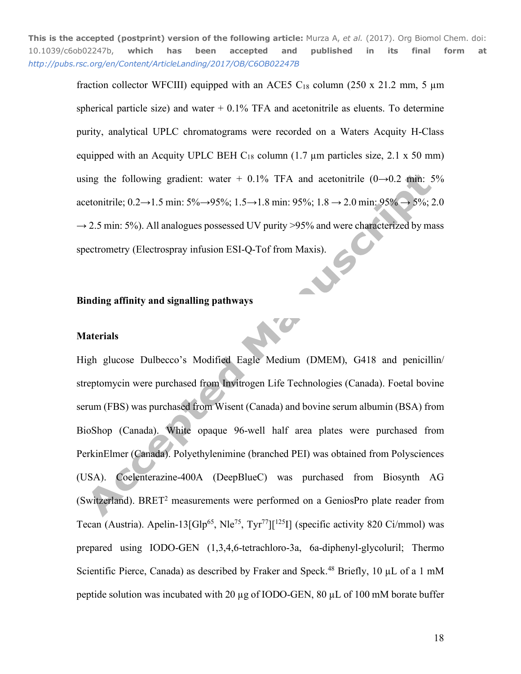> fraction collector WFCIII) equipped with an ACE5 C<sub>18</sub> column (250 x 21.2 mm, 5  $\mu$ m spherical particle size) and water  $+$  0.1% TFA and acetonitrile as eluents. To determine purity, analytical UPLC chromatograms were recorded on a Waters Acquity H-Class equipped with an Acquity UPLC BEH  $C_{18}$  column (1.7 µm particles size, 2.1 x 50 mm) using the following gradient: water + 0.1% TFA and acetonitrile  $(0\rightarrow 0.2 \text{ min}$ : 5% acetonitrile;  $0.2 \rightarrow 1.5$  min:  $5\% \rightarrow 95\%$ ;  $1.5 \rightarrow 1.8$  min:  $95\%$ ;  $1.8 \rightarrow 2.0$  min:  $95\% \rightarrow 5\%$ ; 2.0  $\rightarrow$  2.5 min: 5%). All analogues possessed UV purity >95% and were characterized by mass spectrometry (Electrospray infusion ESI-Q-Tof from Maxis).

> > N

## **Binding affinity and signalling pathways**

#### **Materials**

High glucose Dulbecco's Modified Eagle Medium (DMEM), G418 and penicillin/ streptomycin were purchased from Invitrogen Life Technologies (Canada). Foetal bovine serum (FBS) was purchased from Wisent (Canada) and bovine serum albumin (BSA) from BioShop (Canada). White opaque 96-well half area plates were purchased from PerkinElmer (Canada). Polyethylenimine (branched PEI) was obtained from Polysciences (USA). Coelenterazine-400A (DeepBlueC) was purchased from Biosynth AG (Switzerland). BRET2 measurements were performed on a GeniosPro plate reader from Tecan (Austria). Apelin-13[Glp<sup>65</sup>, Nle<sup>75</sup>, Tyr<sup>77</sup>][<sup>125</sup>I] (specific activity 820 Ci/mmol) was prepared using IODO-GEN (1,3,4,6-tetrachloro-3a, 6a-diphenyl-glycoluril; Thermo Scientific Pierce, Canada) as described by Fraker and Speck.<sup>48</sup> Briefly, 10 µL of a 1 mM peptide solution was incubated with 20 µg of IODO-GEN, 80 µL of 100 mM borate buffer

NO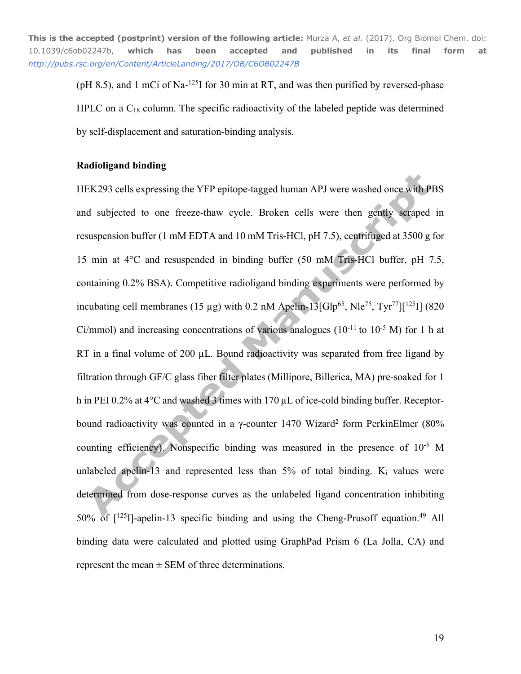> ( $pH$  8.5), and 1 mCi of Na- $125I$  for 30 min at RT, and was then purified by reversed-phase  $HPLC$  on a  $C_{18}$  column. The specific radioactivity of the labeled peptide was determined by self-displacement and saturation-binding analysis.

## **Radioligand binding**

HEK293 cells expressing the YFP epitope-tagged human APJ were washed once with PBS and subjected to one freeze-thaw cycle. Broken cells were then gently scraped in resuspension buffer (1 mM EDTA and 10 mM Tris-HCl, pH 7.5), centrifuged at 3500 g for 15 min at 4°C and resuspended in binding buffer (50 mM Tris-HCl buffer, pH 7.5, containing 0.2% BSA). Competitive radioligand binding experiments were performed by incubating cell membranes (15 µg) with 0.2 nM Apelin-13 $[Glp^{65}, Nle^{75}, Tyr^{77}]$ <sup>[125</sup>] (820 Ci/mmol) and increasing concentrations of various analogues  $(10^{-11}$  to  $10^{-5}$  M) for 1 h at RT in a final volume of 200 µL. Bound radioactivity was separated from free ligand by filtration through GF/C glass fiber filter plates (Millipore, Billerica, MA) pre-soaked for 1 h in PEI 0.2% at 4°C and washed 3 times with 170  $\mu$ L of ice-cold binding buffer. Receptorbound radioactivity was counted in a γ-counter 1470 Wizard<sup>2</sup> form PerkinElmer (80%) counting efficiency). Nonspecific binding was measured in the presence of 10-5 M unlabeled apelin-13 and represented less than  $5\%$  of total binding.  $K_i$  values were determined from dose-response curves as the unlabeled ligand concentration inhibiting 50% of  $[^{125}I]$ -apelin-13 specific binding and using the Cheng-Prusoff equation.<sup>49</sup> All binding data were calculated and plotted using GraphPad Prism 6 (La Jolla, CA) and represent the mean  $\pm$  SEM of three determinations.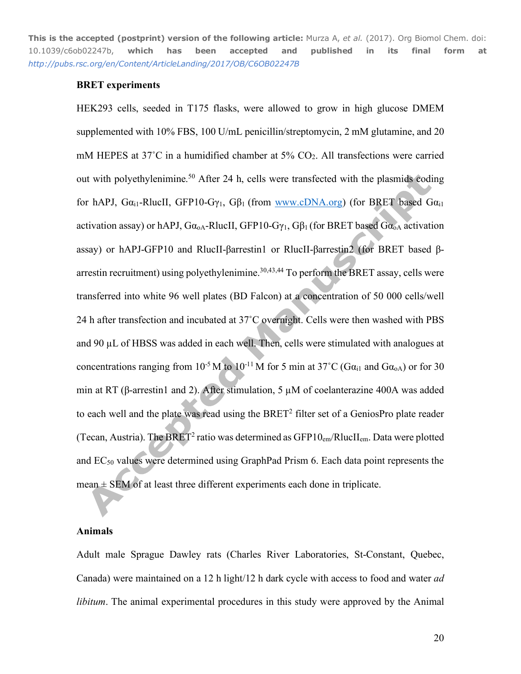#### **BRET experiments**

HEK293 cells, seeded in T175 flasks, were allowed to grow in high glucose DMEM supplemented with 10% FBS, 100 U/mL penicillin/streptomycin, 2 mM glutamine, and 20 mM HEPES at  $37^{\circ}$ C in a humidified chamber at  $5\%$  CO<sub>2</sub>. All transfections were carried out with polyethylenimine.<sup>50</sup> After 24 h, cells were transfected with the plasmids coding for hAPJ,  $G\alpha_{i1}$ -RlucII, GFP10-G $\gamma_1$ , G $\beta_1$  (from www.cDNA.org) (for BRET based  $G\alpha_{i1}$ activation assay) or hAPJ,  $Ga_{0A}$ -RlucII, GFP10-G $\gamma_1$ , G $\beta_1$  (for BRET based  $Ga_{0A}$  activation assay) or hAPJ-GFP10 and RlucII-βarrestin1 or RlucII-βarrestin2 (for BRET based βarrestin recruitment) using polyethylenimine.<sup>30,43,44</sup> To perform the BRET assay, cells were transferred into white 96 well plates (BD Falcon) at a concentration of 50 000 cells/well 24 h after transfection and incubated at 37˚C overnight. Cells were then washed with PBS and 90 µL of HBSS was added in each well. Then, cells were stimulated with analogues at concentrations ranging from 10<sup>-5</sup> M to 10<sup>-11</sup> M for 5 min at 37<sup>°</sup>C (G $\alpha_{i1}$  and G $\alpha_{oA}$ ) or for 30 min at RT (β-arrestin1 and 2). After stimulation, 5 µM of coelanterazine 400A was added to each well and the plate was read using the BRET<sup>2</sup> filter set of a GeniosPro plate reader (Tecan, Austria). The BRET<sup>2</sup> ratio was determined as  $GFP10<sub>em</sub>/RlucII<sub>em</sub>$ . Data were plotted and EC50 values were determined using GraphPad Prism 6. Each data point represents the  $mean \pm SEM$  of at least three different experiments each done in triplicate.

#### **Animals**

Adult male Sprague Dawley rats (Charles River Laboratories, St-Constant, Quebec, Canada) were maintained on a 12 h light/12 h dark cycle with access to food and water *ad libitum*. The animal experimental procedures in this study were approved by the Animal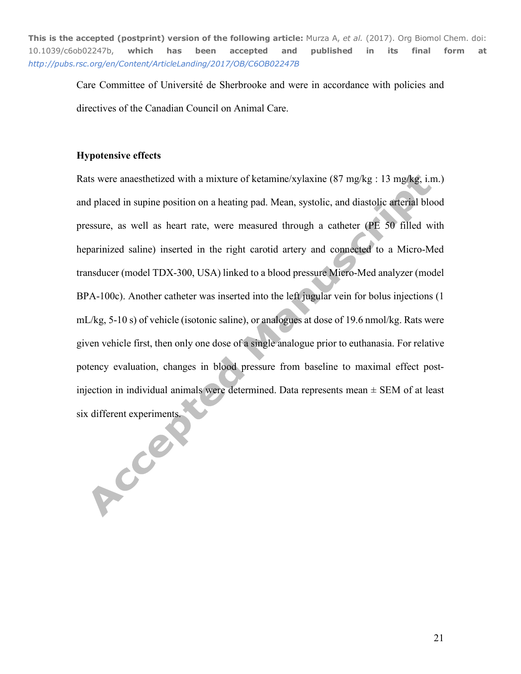> Care Committee of Université de Sherbrooke and were in accordance with policies and directives of the Canadian Council on Animal Care.

## **Hypotensive effects**

Rats were anaesthetized with a mixture of ketamine/xylaxine (87 mg/kg : 13 mg/kg, i.m.) and placed in supine position on a heating pad. Mean, systolic, and diastolic arterial blood pressure, as well as heart rate, were measured through a catheter (PE 50 filled with heparinized saline) inserted in the right carotid artery and connected to a Micro-Med transducer (model TDX-300, USA) linked to a blood pressure Micro-Med analyzer (model BPA-100c). Another catheter was inserted into the left jugular vein for bolus injections (1) mL/kg, 5-10 s) of vehicle (isotonic saline), or analogues at dose of 19.6 nmol/kg. Rats were given vehicle first, then only one dose of a single analogue prior to euthanasia. For relative potency evaluation, changes in blood pressure from baseline to maximal effect postinjection in individual animals were determined. Data represents mean  $\pm$  SEM of at least six different experiments.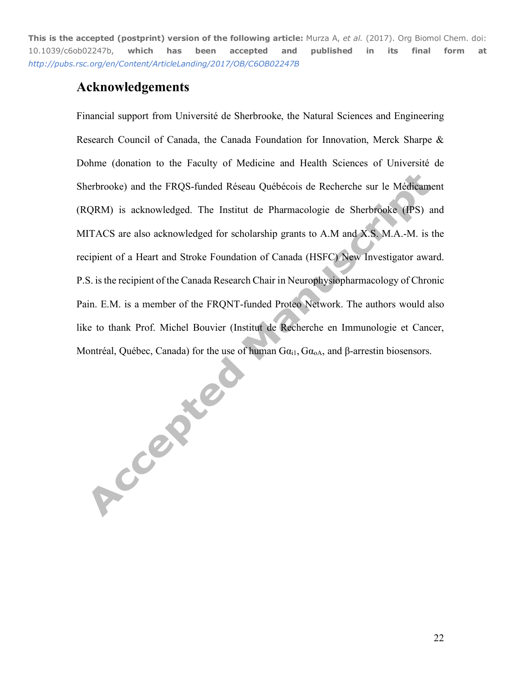## **Acknowledgements**

Financial support from Université de Sherbrooke, the Natural Sciences and Engineering Research Council of Canada, the Canada Foundation for Innovation, Merck Sharpe & Dohme (donation to the Faculty of Medicine and Health Sciences of Université de Sherbrooke) and the FRQS-funded Réseau Québécois de Recherche sur le Médicament (RQRM) is acknowledged. The Institut de Pharmacologie de Sherbrooke (IPS) and MITACS are also acknowledged for scholarship grants to A.M and X.S. M.A.-M. is the recipient of a Heart and Stroke Foundation of Canada (HSFC) New Investigator award. P.S. is the recipient of the Canada Research Chair in Neurophysiopharmacology of Chronic Pain. E.M. is a member of the FRQNT-funded Proteo Network. The authors would also like to thank Prof. Michel Bouvier (Institut de Recherche en Immunologie et Cancer,

Montréal, Québec, Canada) for the use of human Gα<sub>i1</sub>, Gα<sub>oA</sub>, and β-arrestin biosensors.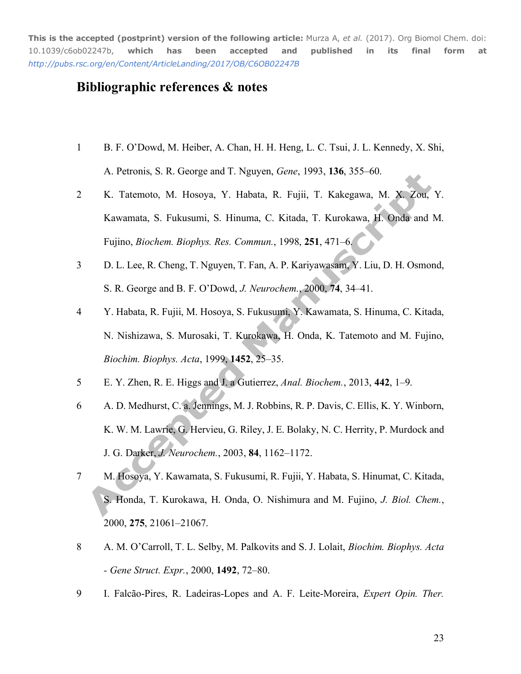# **Bibliographic references & notes**

- 1 B. F. O'Dowd, M. Heiber, A. Chan, H. H. Heng, L. C. Tsui, J. L. Kennedy, X. Shi, A. Petronis, S. R. George and T. Nguyen, *Gene*, 1993, **136**, 355–60.
- 2 K. Tatemoto, M. Hosoya, Y. Habata, R. Fujii, T. Kakegawa, M. X. Zou, Y. Kawamata, S. Fukusumi, S. Hinuma, C. Kitada, T. Kurokawa, H. Onda and M. Fujino, *Biochem. Biophys. Res. Commun.*, 1998, **251**, 471–6.
- 3 D. L. Lee, R. Cheng, T. Nguyen, T. Fan, A. P. Kariyawasam, Y. Liu, D. H. Osmond, S. R. George and B. F. O'Dowd, *J. Neurochem.*, 2000, **74**, 34–41.
- 4 Y. Habata, R. Fujii, M. Hosoya, S. Fukusumi, Y. Kawamata, S. Hinuma, C. Kitada, N. Nishizawa, S. Murosaki, T. Kurokawa, H. Onda, K. Tatemoto and M. Fujino, *Biochim. Biophys. Acta*, 1999, **1452**, 25–35.
- 5 E. Y. Zhen, R. E. Higgs and J. a Gutierrez, *Anal. Biochem.*, 2013, **442**, 1–9.
- 6 A. D. Medhurst, C. a. Jennings, M. J. Robbins, R. P. Davis, C. Ellis, K. Y. Winborn, K. W. M. Lawrie, G. Hervieu, G. Riley, J. E. Bolaky, N. C. Herrity, P. Murdock and J. G. Darker, *J. Neurochem.*, 2003, **84**, 1162–1172.
- 7 M. Hosoya, Y. Kawamata, S. Fukusumi, R. Fujii, Y. Habata, S. Hinumat, C. Kitada, S. Honda, T. Kurokawa, H. Onda, O. Nishimura and M. Fujino, *J. Biol. Chem.*, 2000, **275**, 21061–21067.
- 8 A. M. O'Carroll, T. L. Selby, M. Palkovits and S. J. Lolait, *Biochim. Biophys. Acta - Gene Struct. Expr.*, 2000, **1492**, 72–80.
- 9 I. Falcão-Pires, R. Ladeiras-Lopes and A. F. Leite-Moreira, *Expert Opin. Ther.*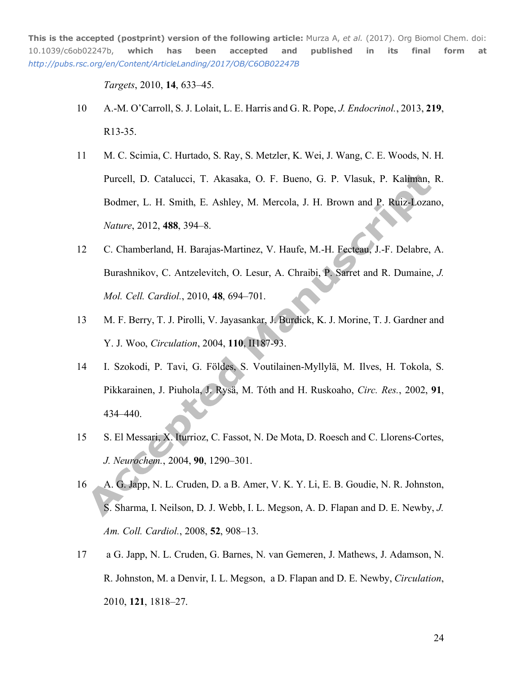*Targets*, 2010, **14**, 633–45.

- 10 A.-M. O'Carroll, S. J. Lolait, L. E. Harris and G. R. Pope, *J. Endocrinol.*, 2013, **219**, R13-35.
- 11 M. C. Scimia, C. Hurtado, S. Ray, S. Metzler, K. Wei, J. Wang, C. E. Woods, N. H. Purcell, D. Catalucci, T. Akasaka, O. F. Bueno, G. P. Vlasuk, P. Kaliman, R. Bodmer, L. H. Smith, E. Ashley, M. Mercola, J. H. Brown and P. Ruiz-Lozano, *Nature*, 2012, **488**, 394–8.
- 12 C. Chamberland, H. Barajas-Martinez, V. Haufe, M.-H. Fecteau, J.-F. Delabre, A. Burashnikov, C. Antzelevitch, O. Lesur, A. Chraibi, P. Sarret and R. Dumaine, *J. Mol. Cell. Cardiol.*, 2010, **48**, 694–701.
- 13 M. F. Berry, T. J. Pirolli, V. Jayasankar, J. Burdick, K. J. Morine, T. J. Gardner and Y. J. Woo, *Circulation*, 2004, **110**, II187-93.
- 14 I. Szokodi, P. Tavi, G. Földes, S. Voutilainen-Myllylä, M. Ilves, H. Tokola, S. Pikkarainen, J. Piuhola, J. Rysä, M. Tóth and H. Ruskoaho, *Circ. Res.*, 2002, **91**, 434–440.
- 15 S. El Messari, X. Iturrioz, C. Fassot, N. De Mota, D. Roesch and C. Llorens-Cortes, *J. Neurochem.*, 2004, **90**, 1290–301.
- 16 A. G. Japp, N. L. Cruden, D. a B. Amer, V. K. Y. Li, E. B. Goudie, N. R. Johnston, S. Sharma, I. Neilson, D. J. Webb, I. L. Megson, A. D. Flapan and D. E. Newby, *J. Am. Coll. Cardiol.*, 2008, **52**, 908–13.
- 17 a G. Japp, N. L. Cruden, G. Barnes, N. van Gemeren, J. Mathews, J. Adamson, N. R. Johnston, M. a Denvir, I. L. Megson, a D. Flapan and D. E. Newby, *Circulation*, 2010, **121**, 1818–27.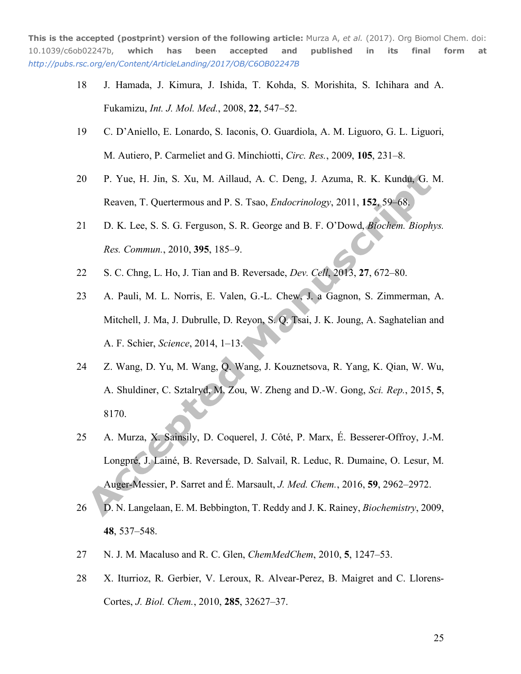- 18 J. Hamada, J. Kimura, J. Ishida, T. Kohda, S. Morishita, S. Ichihara and A. Fukamizu, *Int. J. Mol. Med.*, 2008, **22**, 547–52.
- 19 C. D'Aniello, E. Lonardo, S. Iaconis, O. Guardiola, A. M. Liguoro, G. L. Liguori, M. Autiero, P. Carmeliet and G. Minchiotti, *Circ. Res.*, 2009, **105**, 231–8.
- 20 P. Yue, H. Jin, S. Xu, M. Aillaud, A. C. Deng, J. Azuma, R. K. Kundu, G. M. Reaven, T. Quertermous and P. S. Tsao, *Endocrinology*, 2011, **152**, 59–68.
- 21 D. K. Lee, S. S. G. Ferguson, S. R. George and B. F. O'Dowd, *Biochem. Biophys. Res. Commun.*, 2010, **395**, 185–9.
- 22 S. C. Chng, L. Ho, J. Tian and B. Reversade, *Dev. Cell*, 2013, **27**, 672–80.
- 23 A. Pauli, M. L. Norris, E. Valen, G.-L. Chew, J. a Gagnon, S. Zimmerman, A. Mitchell, J. Ma, J. Dubrulle, D. Reyon, S. Q. Tsai, J. K. Joung, A. Saghatelian and A. F. Schier, *Science*, 2014, 1–13.
- 24 Z. Wang, D. Yu, M. Wang, Q. Wang, J. Kouznetsova, R. Yang, K. Qian, W. Wu, A. Shuldiner, C. Sztalryd, M. Zou, W. Zheng and D.-W. Gong, *Sci. Rep.*, 2015, **5**, 8170.
- 25 A. Murza, X. Sainsily, D. Coquerel, J. Côté, P. Marx, É. Besserer-Offroy, J.-M. Longpré, J. Lainé, B. Reversade, D. Salvail, R. Leduc, R. Dumaine, O. Lesur, M. Auger-Messier, P. Sarret and É. Marsault, *J. Med. Chem.*, 2016, **59**, 2962–2972.
- 26 D. N. Langelaan, E. M. Bebbington, T. Reddy and J. K. Rainey, *Biochemistry*, 2009, **48**, 537–548.
- 27 N. J. M. Macaluso and R. C. Glen, *ChemMedChem*, 2010, **5**, 1247–53.
- 28 X. Iturrioz, R. Gerbier, V. Leroux, R. Alvear-Perez, B. Maigret and C. Llorens-Cortes, *J. Biol. Chem.*, 2010, **285**, 32627–37.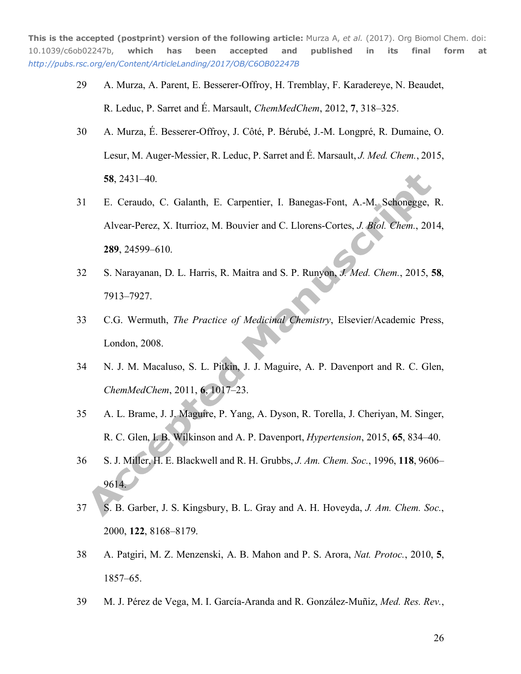- 29 A. Murza, A. Parent, E. Besserer-Offroy, H. Tremblay, F. Karadereye, N. Beaudet, R. Leduc, P. Sarret and É. Marsault, *ChemMedChem*, 2012, **7**, 318–325.
- 30 A. Murza, É. Besserer-Offroy, J. Côté, P. Bérubé, J.-M. Longpré, R. Dumaine, O. Lesur, M. Auger-Messier, R. Leduc, P. Sarret and É. Marsault, *J. Med. Chem.*, 2015, **58**, 2431–40.
- 31 E. Ceraudo, C. Galanth, E. Carpentier, I. Banegas-Font, A.-M. Schonegge, R. Alvear-Perez, X. Iturrioz, M. Bouvier and C. Llorens-Cortes, *J. Biol. Chem.*, 2014, **289**, 24599–610.
- 32 S. Narayanan, D. L. Harris, R. Maitra and S. P. Runyon, *J. Med. Chem.*, 2015, **58**, 7913–7927.
- 33 C.G. Wermuth, *The Practice of Medicinal Chemistry*, Elsevier/Academic Press, London, 2008.
- 34 N. J. M. Macaluso, S. L. Pitkin, J. J. Maguire, A. P. Davenport and R. C. Glen, *ChemMedChem*, 2011, **6**, 1017–23.
- 35 A. L. Brame, J. J. Maguire, P. Yang, A. Dyson, R. Torella, J. Cheriyan, M. Singer, R. C. Glen, I. B. Wilkinson and A. P. Davenport, *Hypertension*, 2015, **65**, 834–40.
- 36 S. J. Miller, H. E. Blackwell and R. H. Grubbs, *J. Am. Chem. Soc.*, 1996, **118**, 9606– 9614.
- 37 S. B. Garber, J. S. Kingsbury, B. L. Gray and A. H. Hoveyda, *J. Am. Chem. Soc.*, 2000, **122**, 8168–8179.
- 38 A. Patgiri, M. Z. Menzenski, A. B. Mahon and P. S. Arora, *Nat. Protoc.*, 2010, **5**, 1857–65.
- 39 M. J. Pérez de Vega, M. I. García-Aranda and R. González-Muñiz, *Med. Res. Rev.*,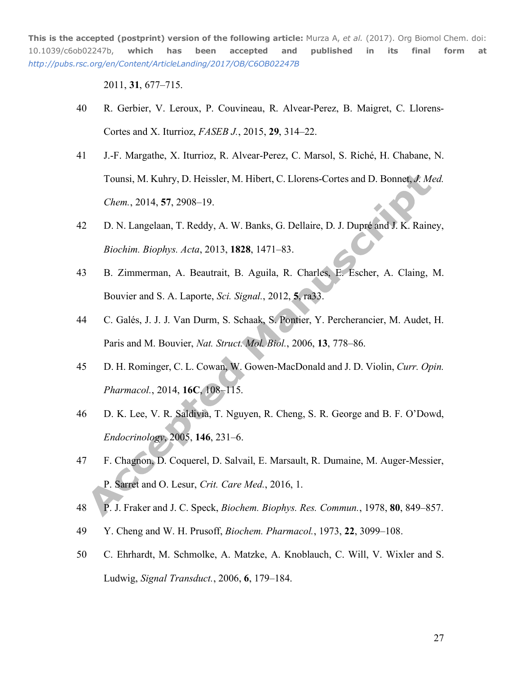2011, **31**, 677–715.

- 40 R. Gerbier, V. Leroux, P. Couvineau, R. Alvear-Perez, B. Maigret, C. Llorens-Cortes and X. Iturrioz, *FASEB J.*, 2015, **29**, 314–22.
- 41 J.-F. Margathe, X. Iturrioz, R. Alvear-Perez, C. Marsol, S. Riché, H. Chabane, N. Tounsi, M. Kuhry, D. Heissler, M. Hibert, C. Llorens-Cortes and D. Bonnet, *J. Med. Chem.*, 2014, **57**, 2908–19.
- 42 D. N. Langelaan, T. Reddy, A. W. Banks, G. Dellaire, D. J. Dupré and J. K. Rainey, *Biochim. Biophys. Acta*, 2013, **1828**, 1471–83.
- 43 B. Zimmerman, A. Beautrait, B. Aguila, R. Charles, E. Escher, A. Claing, M. Bouvier and S. A. Laporte, *Sci. Signal.*, 2012, **5**, ra33.
- 44 C. Galés, J. J. J. Van Durm, S. Schaak, S. Pontier, Y. Percherancier, M. Audet, H. Paris and M. Bouvier, *Nat. Struct. Mol. Biol.*, 2006, **13**, 778–86.
- 45 D. H. Rominger, C. L. Cowan, W. Gowen-MacDonald and J. D. Violin, *Curr. Opin. Pharmacol.*, 2014, **16C**, 108–115.
- 46 D. K. Lee, V. R. Saldivia, T. Nguyen, R. Cheng, S. R. George and B. F. O'Dowd, *Endocrinology*, 2005, **146**, 231–6.
- 47 F. Chagnon, D. Coquerel, D. Salvail, E. Marsault, R. Dumaine, M. Auger-Messier, P. Sarret and O. Lesur, *Crit. Care Med.*, 2016, 1.
- 48 P. J. Fraker and J. C. Speck, *Biochem. Biophys. Res. Commun.*, 1978, **80**, 849–857.
- 49 Y. Cheng and W. H. Prusoff, *Biochem. Pharmacol.*, 1973, **22**, 3099–108.
- 50 C. Ehrhardt, M. Schmolke, A. Matzke, A. Knoblauch, C. Will, V. Wixler and S. Ludwig, *Signal Transduct.*, 2006, **6**, 179–184.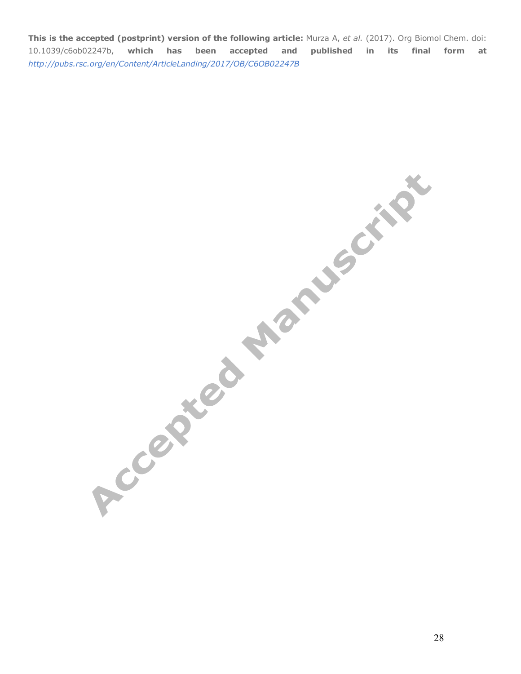A Coepice & Manuscript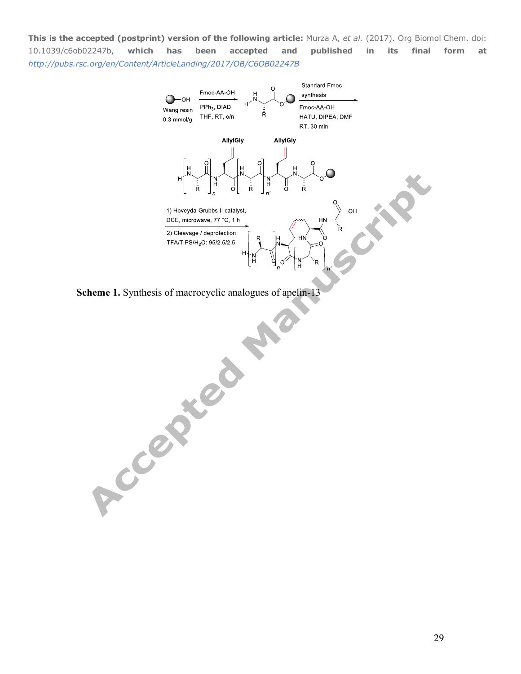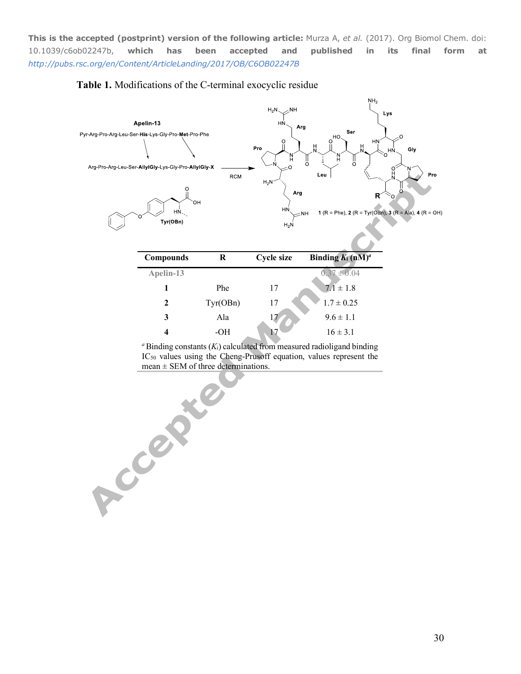

#### **Table 1.** Modifications of the C-terminal exocyclic residue

 $a$ Binding constants  $(K<sub>i</sub>)$  calculated from measured radioligand binding IC50 values using the Cheng-Prusoff equation, values represent the mean ± SEM of three determinations.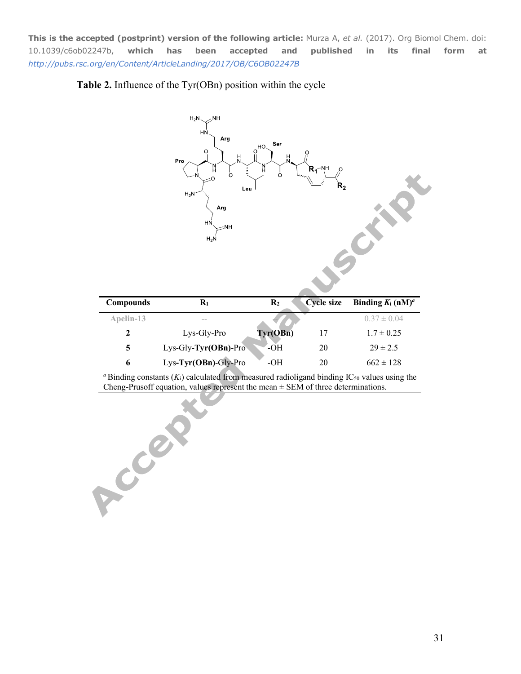**Table 2.** Influence of the Tyr(OBn) position within the cycle



| Compounds | K1                   | K2       | <b>Cycle size</b> | $\bm{\mathrm{Binding}}$ $\bm{\mathrm{A_i}}$ ( $\bm{\mathrm{mM}}$ )" |
|-----------|----------------------|----------|-------------------|---------------------------------------------------------------------|
| Apelin-13 | --                   |          |                   | $0.37 \pm 0.04$                                                     |
|           | Lys-Gly-Pro          | Tyr(OBn) | 17                | $1.7 \pm 0.25$                                                      |
| 5         | Lys-Gly-Tyr(OBn)-Pro | -OH      | 20                | $29 \pm 2.5$                                                        |
| 6         | Lys-Tyr(OBn)-Gly-Pro | $-OH$    | 20                | $662 \pm 128$                                                       |
|           |                      |          |                   |                                                                     |

 $a$ Binding constants ( $K_i$ ) calculated from measured radioligand binding IC<sub>50</sub> values using the Cheng-Prusoff equation, values represent the mean  $\pm$  SEM of three determinations.

Accept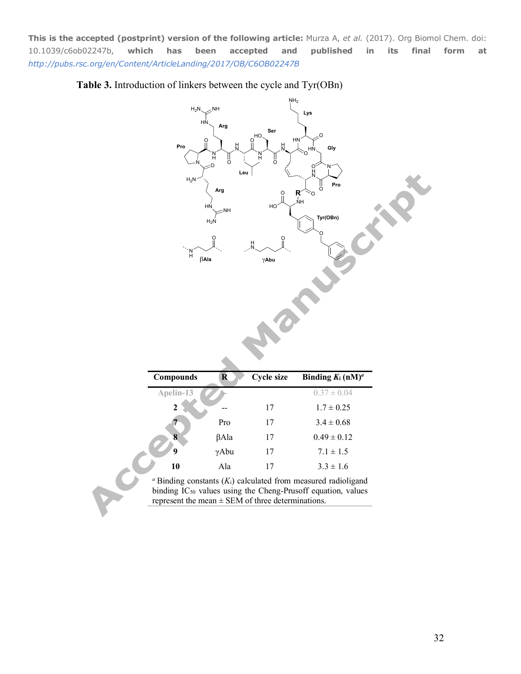



represent the mean ± SEM of three determinations.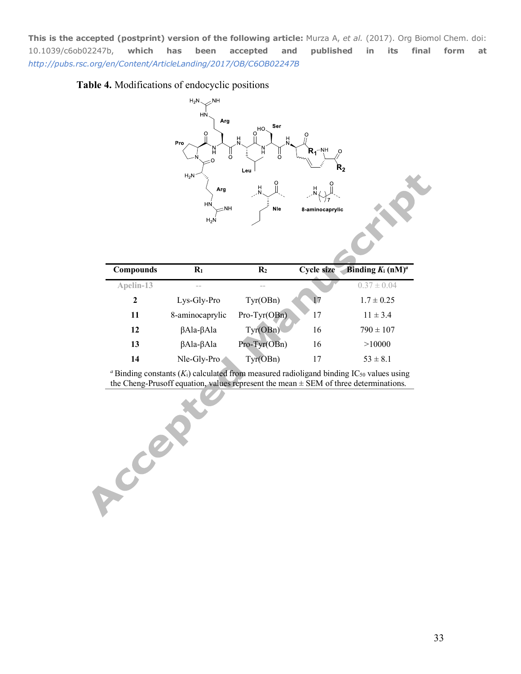#### **Table 4.** Modifications of endocyclic positions

Accept



| <b>Compounds</b> | $\mathbf{R}_1$           | $\mathbf{R}_2$ | <b>Cycle size</b> | <b>Binding <math>K_i</math> (nM)<sup>a</sup></b> |
|------------------|--------------------------|----------------|-------------------|--------------------------------------------------|
| Apelin-13        | $\sim$                   | --             |                   | $0.37 \pm 0.04$                                  |
| $\mathbf{2}$     | Lys-Gly-Pro              | Tyr(OBn)       | 17                | $1.7 \pm 0.25$                                   |
| 11               | 8-aminocaprylic          | Pro-Tyr(OBn)   | 17                | $11 \pm 3.4$                                     |
| 12               | $\beta$ Ala- $\beta$ Ala | Tyr(OBn)       | 16                | $790 \pm 107$                                    |
| 13               | $\beta$ Ala- $\beta$ Ala | $Pro-Tyr(OBn)$ | 16                | >10000                                           |
| 14               | Nle-Gly-Pro              | Tyr(OBn)       | 17                | $53 \pm 8.1$                                     |

 $a$ Binding constants  $(K<sub>i</sub>)$  calculated from measured radioligand binding IC<sub>50</sub> values using the Cheng-Prusoff equation, values represent the mean  $\pm$  SEM of three determinations.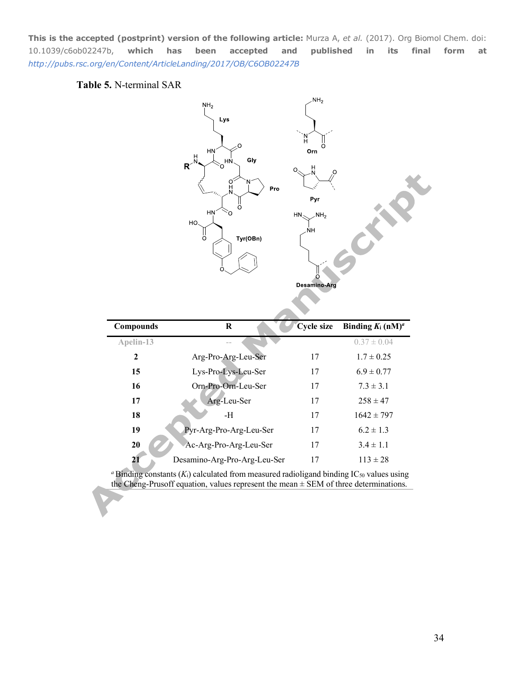

|                  | NH <sub>2</sub><br>Lys<br>Ō<br>HN<br>$R^{\overset{H}{\wedge}$<br>Gly<br>$\mathcal{L}_{\text{O}}$ HN.<br>210<br>N<br>Pro<br>ö<br>HN<br>์ O<br>HO.<br>$\frac{11}{5}$<br>Tyr(OBn)<br>O | NH <sub>2</sub><br>'N<br>H<br>O<br>Orn<br>$\frac{H}{N}$<br>O<br>$\circ$<br>Pyr<br>$\sqrt{NH_2}$<br>HN <sub>c</sub><br>ŃН<br>O<br>Desamino-Arg |                                 |  |
|------------------|-------------------------------------------------------------------------------------------------------------------------------------------------------------------------------------|-----------------------------------------------------------------------------------------------------------------------------------------------|---------------------------------|--|
| <b>Compounds</b> | ${\bf R}$                                                                                                                                                                           | Cycle size                                                                                                                                    | Binding $K_i$ (nM) <sup>a</sup> |  |
| Apelin-13        |                                                                                                                                                                                     |                                                                                                                                               | $0.37 \pm 0.04$                 |  |
| $\mathbf{2}$     | Arg-Pro-Arg-Leu-Ser                                                                                                                                                                 | 17                                                                                                                                            | $1.7 \pm 0.25$                  |  |
| 15               | Lys-Pro-Lys-Leu-Ser                                                                                                                                                                 | 17                                                                                                                                            | $6.9 \pm 0.77$                  |  |
| 16               | Orn-Pro-Orn-Leu-Ser                                                                                                                                                                 | 17                                                                                                                                            | $7.3 \pm 3.1$                   |  |
| 17               | Arg-Leu-Ser                                                                                                                                                                         | 17                                                                                                                                            | $258 \pm 47$                    |  |
| 18               | -H                                                                                                                                                                                  | 17                                                                                                                                            | $1642 \pm 797$                  |  |
| 19               | Pyr-Arg-Pro-Arg-Leu-Ser                                                                                                                                                             | 17                                                                                                                                            | $6.2 \pm 1.3$                   |  |
| <b>20</b>        | Ac-Arg-Pro-Arg-Leu-Ser                                                                                                                                                              | 17                                                                                                                                            | $3.4 \pm 1.1$                   |  |
| 21               | Desamino-Arg-Pro-Arg-Leu-Ser                                                                                                                                                        | 17                                                                                                                                            | $113 \pm 28$                    |  |

 $a$ Binding constants ( $K_i$ ) calculated from measured radioligand binding IC<sub>50</sub> values using the Cheng-Prusoff equation, values represent the mean  $\pm$  SEM of three determinations.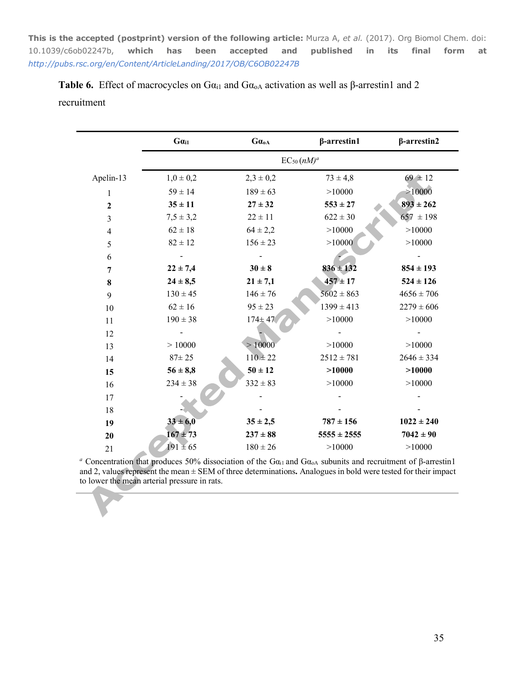**Table 6.** Effect of macrocycles on  $Ga_{i1}$  and  $Ga_{oA}$  activation as well as  $\beta$ -arrestin1 and 2 recruitment

|                          | Ga <sub>i1</sub> | $Ga_{oA}$        | $\beta$ -arrestin1 | $\beta$ -arrestin2 |  |
|--------------------------|------------------|------------------|--------------------|--------------------|--|
|                          |                  | $EC_{50} (nM)^a$ |                    |                    |  |
| Apelin-13                | $1,0 \pm 0,2$    | $2,3 \pm 0,2$    | $73 \pm 4,8$       | $69 \pm 12$        |  |
| 1                        | $59 \pm 14$      | $189 \pm 63$     | >10000             | >10000             |  |
| $\overline{\mathbf{c}}$  | $35 \pm 11$      | $27 \pm 32$      | $553 \pm 27$       | $893 \pm 262$      |  |
| $\mathfrak{Z}$           | $7,5 \pm 3,2$    | $22 \pm 11$      | $622 \pm 30$       | $657 \pm 198$      |  |
| $\overline{\mathcal{L}}$ | $62 \pm 18$      | $64 \pm 2,2$     | >10000             | >10000             |  |
| 5                        | $82 \pm 12$      | $156 \pm 23$     | >10000             | >10000             |  |
| $\boldsymbol{6}$         |                  |                  |                    |                    |  |
| 7                        | $22 \pm 7,4$     | $30 \pm 8$       | $836 \pm 132$      | $854 \pm 193$      |  |
| 8                        | $24 \pm 8,5$     | $21 \pm 7,1$     | $457 \pm 17$       | $524 \pm 126$      |  |
| 9                        | $130 \pm 45$     | $146 \pm 76$     | $5602 \pm 863$     | $4656 \pm 706$     |  |
| 10                       | $62 \pm 16$      | $95 \pm 23$      | $1399 \pm 413$     | $2279 \pm 606$     |  |
| 11                       | $190 \pm 38$     | $174 \pm 47$     | >10000             | >10000             |  |
| 12                       |                  |                  |                    |                    |  |
| 13                       | >10000           | >10000           | >10000             | >10000             |  |
| 14                       | $87 + 25$        | $110 \pm 22$     | $2512 \pm 781$     | $2646 \pm 334$     |  |
| 15                       | $56 \pm 8,8$     | $50 \pm 12$      | >10000             | >10000             |  |
| 16                       | $234 \pm 38$     | $332 \pm 83$     | >10000             | >10000             |  |
| 17                       |                  |                  |                    |                    |  |
| 18                       |                  |                  |                    |                    |  |
| 19                       | $33 \pm 6,0$     | $35 \pm 2,5$     | $787 \pm 156$      | $1022 \pm 240$     |  |
| 20                       | $167 \pm 73$     | $237 \pm 88$     | $5555 \pm 2555$    | $7042 \pm 90$      |  |
| 21                       | $191 \pm 65$     | $180 \pm 26$     | >10000             | >10000             |  |

<sup>*a*</sup> Concentration that produces 50% dissociation of the Gα<sub>i1</sub> and Gα<sub>oA</sub> subunits and recruitment of β-arrestin1 and 2, values represent the mean ± SEM of three determinations**.** Analogues in bold were tested for their impact to lower the mean arterial pressure in rats.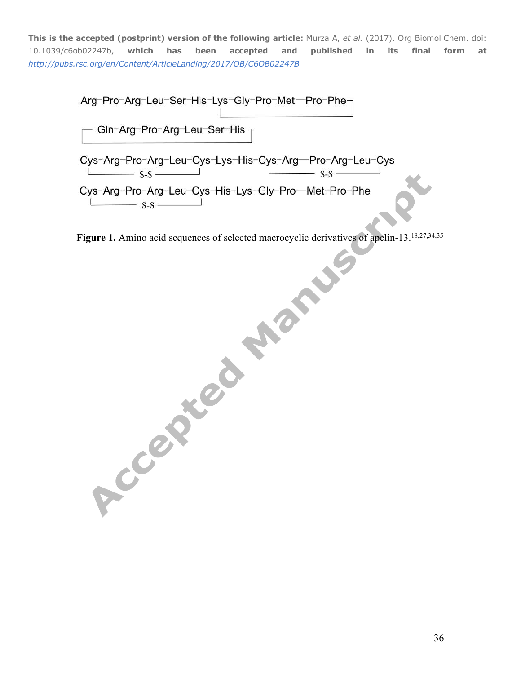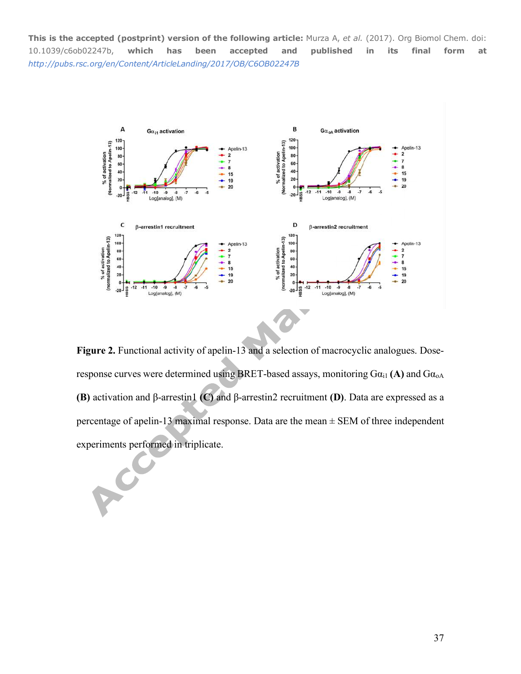

**Figure 2.** Functional activity of apelin-13 and a selection of macrocyclic analogues. Doseresponse curves were determined using BRET-based assays, monitoring  $Ga_{11}(A)$  and  $Ga_{0A}$ **(B)** activation and β-arrestin1 **(C)** and β-arrestin2 recruitment **(D)**. Data are expressed as a percentage of apelin-13 maximal response. Data are the mean  $\pm$  SEM of three independent experiments performed in triplicate.